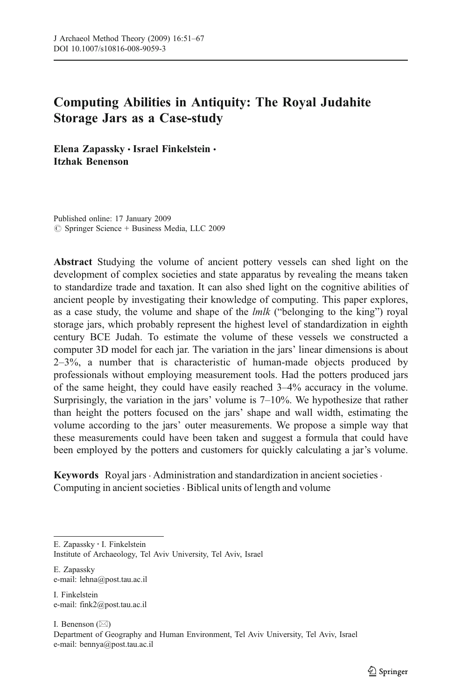# Computing Abilities in Antiquity: The Royal Judahite Storage Jars as a Case-study

Elena Zapassky · Israel Finkelstein · Itzhak Benenson

Published online: 17 January 2009  $\oslash$  Springer Science + Business Media, LLC 2009

Abstract Studying the volume of ancient pottery vessels can shed light on the development of complex societies and state apparatus by revealing the means taken to standardize trade and taxation. It can also shed light on the cognitive abilities of ancient people by investigating their knowledge of computing. This paper explores, as a case study, the volume and shape of the  $lmlk$  ("belonging to the king") royal storage jars, which probably represent the highest level of standardization in eighth century BCE Judah. To estimate the volume of these vessels we constructed a computer 3D model for each jar. The variation in the jars' linear dimensions is about  $2-3\%$ , a number that is characteristic of human-made objects produced by professionals without employing measurement tools. Had the potters produced jars of the same height, they could have easily reached 3–4% accuracy in the volume. Surprisingly, the variation in the jars' volume is 7–10%. We hypothesize that rather than height the potters focused on the jars' shape and wall width, estimating the volume according to the jars' outer measurements. We propose a simple way that these measurements could have been taken and suggest a formula that could have been employed by the potters and customers for quickly calculating a jar's volume.

Keywords Royal jars · Administration and standardization in ancient societies · Computing in ancient societies  $\cdot$  Biblical units of length and volume

E. Zapassky e-mail: lehna@post.tau.ac.il

I. Finkelstein e-mail: fink2@post.tau.ac.il

I. Benenson  $(\boxtimes)$ Department of Geography and Human Environment, Tel Aviv University, Tel Aviv, Israel e-mail: bennya@post.tau.ac.il

E. Zapassky *:* I. Finkelstein

Institute of Archaeology, Tel Aviv University, Tel Aviv, Israel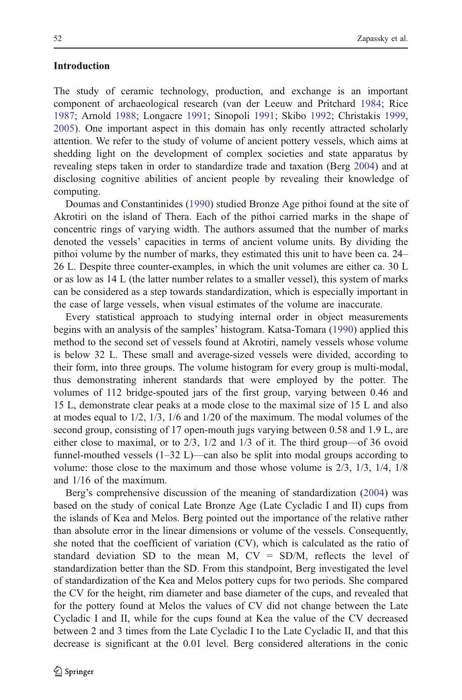## Introduction

The study of ceramic technology, production, and exchange is an important component of archaeological research (van der Leeuw and Pritchard [1984;](#page-15-0) Rice [1987;](#page-15-0) Arnold [1988;](#page-14-0) Longacre [1991](#page-15-0); Sinopoli [1991;](#page-15-0) Skibo [1992](#page-15-0); Christakis [1999,](#page-14-0) [2005\)](#page-14-0). One important aspect in this domain has only recently attracted scholarly attention. We refer to the study of volume of ancient pottery vessels, which aims at shedding light on the development of complex societies and state apparatus by revealing steps taken in order to standardize trade and taxation (Berg [2004\)](#page-14-0) and at disclosing cognitive abilities of ancient people by revealing their knowledge of computing.

Doumas and Constantinides ([1990\)](#page-15-0) studied Bronze Age pithoi found at the site of Akrotiri on the island of Thera. Each of the pithoi carried marks in the shape of concentric rings of varying width. The authors assumed that the number of marks denoted the vessels' capacities in terms of ancient volume units. By dividing the pithoi volume by the number of marks, they estimated this unit to have been ca. 24– 26 L. Despite three counter-examples, in which the unit volumes are either ca. 30 L or as low as 14 L (the latter number relates to a smaller vessel), this system of marks can be considered as a step towards standardization, which is especially important in the case of large vessels, when visual estimates of the volume are inaccurate.

Every statistical approach to studying internal order in object measurements begins with an analysis of the samples' histogram. Katsa-Tomara [\(1990](#page-15-0)) applied this method to the second set of vessels found at Akrotiri, namely vessels whose volume is below 32 L. These small and average-sized vessels were divided, according to their form, into three groups. The volume histogram for every group is multi-modal, thus demonstrating inherent standards that were employed by the potter. The volumes of 112 bridge-spouted jars of the first group, varying between 0.46 and 15 L, demonstrate clear peaks at a mode close to the maximal size of 15 L and also at modes equal to 1/2, 1/3, 1/6 and 1/20 of the maximum. The modal volumes of the second group, consisting of 17 open-mouth jugs varying between 0.58 and 1.9 L, are either close to maximal, or to 2/3, 1/2 and 1/3 of it. The third group—of 36 ovoid funnel-mouthed vessels  $(1-32 L)$ —can also be split into modal groups according to volume: those close to the maximum and those whose volume is 2/3, 1/3, 1/4, 1/8 and 1/16 of the maximum.

Berg's comprehensive discussion of the meaning of standardization ([2004\)](#page-14-0) was based on the study of conical Late Bronze Age (Late Cycladic I and II) cups from the islands of Kea and Melos. Berg pointed out the importance of the relative rather than absolute error in the linear dimensions or volume of the vessels. Consequently, she noted that the coefficient of variation (CV), which is calculated as the ratio of standard deviation SD to the mean M,  $CV = SD/M$ , reflects the level of standardization better than the SD. From this standpoint, Berg investigated the level of standardization of the Kea and Melos pottery cups for two periods. She compared the CV for the height, rim diameter and base diameter of the cups, and revealed that for the pottery found at Melos the values of CV did not change between the Late Cycladic I and II, while for the cups found at Kea the value of the CV decreased between 2 and 3 times from the Late Cycladic I to the Late Cycladic II, and that this decrease is significant at the 0.01 level. Berg considered alterations in the conic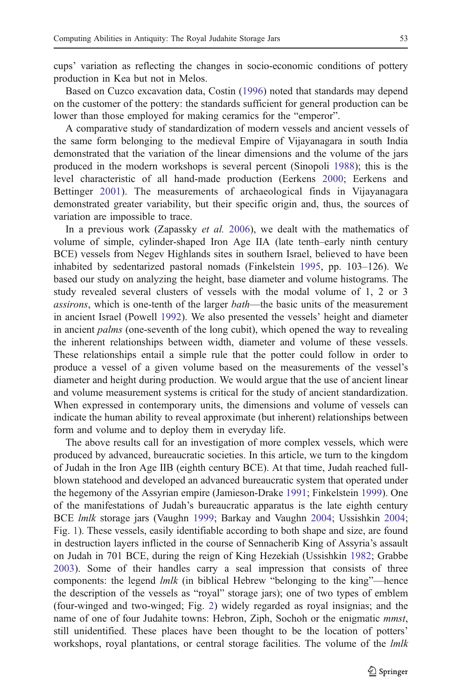cups' variation as reflecting the changes in socio-economic conditions of pottery production in Kea but not in Melos.

Based on Cuzco excavation data, Costin ([1996](#page-15-0)) noted that standards may depend on the customer of the pottery: the standards sufficient for general production can be lower than those employed for making ceramics for the "emperor".

A comparative study of standardization of modern vessels and ancient vessels of the same form belonging to the medieval Empire of Vijayanagara in south India demonstrated that the variation of the linear dimensions and the volume of the jars produced in the modern workshops is several percent (Sinopoli [1988](#page-15-0)); this is the level characteristic of all hand-made production (Eerkens [2000;](#page-15-0) Eerkens and Bettinger [2001](#page-15-0)). The measurements of archaeological finds in Vijayanagara demonstrated greater variability, but their specific origin and, thus, the sources of variation are impossible to trace.

In a previous work (Zapassky et al. [2006\)](#page-16-0), we dealt with the mathematics of volume of simple, cylinder-shaped Iron Age IIA (late tenth–early ninth century BCE) vessels from Negev Highlands sites in southern Israel, believed to have been inhabited by sedentarized pastoral nomads (Finkelstein [1995](#page-15-0), pp. 103–126). We based our study on analyzing the height, base diameter and volume histograms. The study revealed several clusters of vessels with the modal volume of 1, 2 or 3 assirons, which is one-tenth of the larger bath—the basic units of the measurement in ancient Israel (Powell [1992\)](#page-15-0). We also presented the vessels' height and diameter in ancient *palms* (one-seventh of the long cubit), which opened the way to revealing the inherent relationships between width, diameter and volume of these vessels. These relationships entail a simple rule that the potter could follow in order to produce a vessel of a given volume based on the measurements of the vessel's diameter and height during production. We would argue that the use of ancient linear and volume measurement systems is critical for the study of ancient standardization. When expressed in contemporary units, the dimensions and volume of vessels can indicate the human ability to reveal approximate (but inherent) relationships between form and volume and to deploy them in everyday life.

The above results call for an investigation of more complex vessels, which were produced by advanced, bureaucratic societies. In this article, we turn to the kingdom of Judah in the Iron Age IIB (eighth century BCE). At that time, Judah reached fullblown statehood and developed an advanced bureaucratic system that operated under the hegemony of the Assyrian empire (Jamieson-Drake [1991](#page-15-0); Finkelstein [1999\)](#page-15-0). One of the manifestations of Judah's bureaucratic apparatus is the late eighth century BCE lmlk storage jars (Vaughn [1999;](#page-16-0) Barkay and Vaughn [2004;](#page-14-0) Ussishkin [2004;](#page-15-0) Fig. [1](#page-3-0)). These vessels, easily identifiable according to both shape and size, are found in destruction layers inflicted in the course of Sennacherib King of Assyria's assault on Judah in 701 BCE, during the reign of King Hezekiah (Ussishkin [1982](#page-15-0); Grabbe [2003\)](#page-15-0). Some of their handles carry a seal impression that consists of three components: the legend  $lmlk$  (in biblical Hebrew "belonging to the king"—hence the description of the vessels as "royal" storage jars); one of two types of emblem (four-winged and two-winged; Fig. [2\)](#page-3-0) widely regarded as royal insignias; and the name of one of four Judahite towns: Hebron, Ziph, Sochoh or the enigmatic mmst, still unidentified. These places have been thought to be the location of potters' workshops, royal plantations, or central storage facilities. The volume of the *lmlk*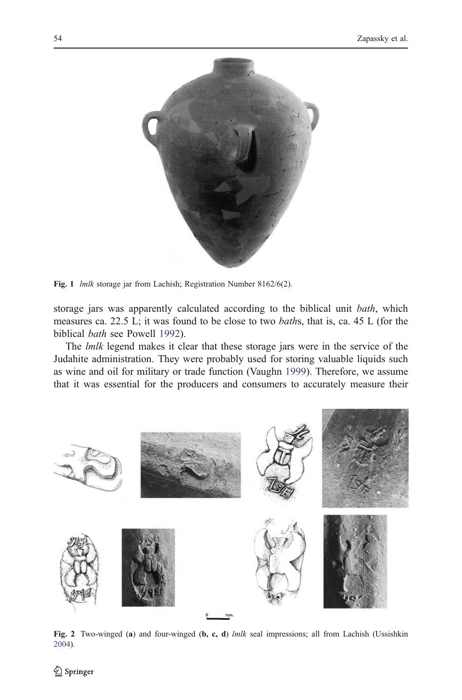<span id="page-3-0"></span>

Fig. 1 *lmlk* storage jar from Lachish; Registration Number 8162/6(2).

storage jars was apparently calculated according to the biblical unit bath, which measures ca. 22.5 L; it was found to be close to two baths, that is, ca. 45 L (for the biblical bath see Powell [1992](#page-15-0)).

The *lmlk* legend makes it clear that these storage jars were in the service of the Judahite administration. They were probably used for storing valuable liquids such as wine and oil for military or trade function (Vaughn [1999](#page-16-0)). Therefore, we assume that it was essential for the producers and consumers to accurately measure their



Fig. 2 Two-winged (a) and four-winged (b, c, d)  $lmlk$  seal impressions; all from Lachish (Ussishkin [2004\)](#page-15-0).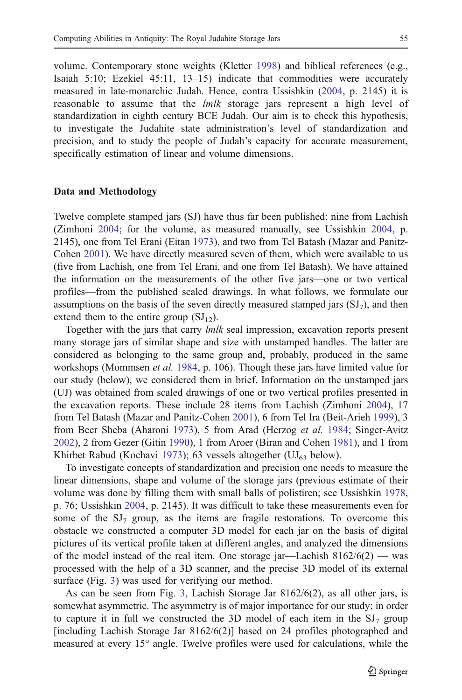volume. Contemporary stone weights (Kletter [1998\)](#page-15-0) and biblical references (e.g., Isaiah 5:10; Ezekiel 45:11, 13–15) indicate that commodities were accurately measured in late-monarchic Judah. Hence, contra Ussishkin [\(2004](#page-15-0), p. 2145) it is reasonable to assume that the *lmlk* storage jars represent a high level of standardization in eighth century BCE Judah. Our aim is to check this hypothesis, to investigate the Judahite state administration's level of standardization and precision, and to study the people of Judah's capacity for accurate measurement, specifically estimation of linear and volume dimensions.

#### Data and Methodology

Twelve complete stamped jars (SJ) have thus far been published: nine from Lachish (Zimhoni [2004](#page-16-0); for the volume, as measured manually, see Ussishkin [2004](#page-15-0), p. 2145), one from Tel Erani (Eitan [1973\)](#page-15-0), and two from Tel Batash (Mazar and Panitz-Cohen [2001\)](#page-15-0). We have directly measured seven of them, which were available to us (five from Lachish, one from Tel Erani, and one from Tel Batash). We have attained the information on the measurements of the other five jars—one or two vertical profiles—from the published scaled drawings. In what follows, we formulate our assumptions on the basis of the seven directly measured stamped jars  $(SJ<sub>7</sub>)$ , and then extend them to the entire group  $(SJ_{12})$ .

Together with the jars that carry *lmlk* seal impression, excavation reports present many storage jars of similar shape and size with unstamped handles. The latter are considered as belonging to the same group and, probably, produced in the same workshops (Mommsen *et al.* [1984,](#page-15-0) p. 106). Though these jars have limited value for our study (below), we considered them in brief. Information on the unstamped jars (UJ) was obtained from scaled drawings of one or two vertical profiles presented in the excavation reports. These include 28 items from Lachish (Zimhoni [2004\)](#page-16-0), 17 from Tel Batash (Mazar and Panitz-Cohen [2001](#page-15-0)), 6 from Tel Ira (Beit-Arieh [1999](#page-14-0)), 3 from Beer Sheba (Aharoni [1973\)](#page-14-0), 5 from Arad (Herzog et al. [1984;](#page-15-0) Singer-Avitz [2002\)](#page-15-0), 2 from Gezer (Gitin [1990\)](#page-15-0), 1 from Aroer (Biran and Cohen [1981\)](#page-14-0), and 1 from Khirbet Rabud (Kochavi [1973\)](#page-15-0); 63 vessels altogether (UJ $_{63}$  below).

To investigate concepts of standardization and precision one needs to measure the linear dimensions, shape and volume of the storage jars (previous estimate of their volume was done by filling them with small balls of polistiren; see Ussishkin [1978,](#page-15-0) p. 76; Ussishkin [2004,](#page-15-0) p. 2145). It was difficult to take these measurements even for some of the  $SI<sub>7</sub>$  group, as the items are fragile restorations. To overcome this obstacle we constructed a computer 3D model for each jar on the basis of digital pictures of its vertical profile taken at different angles, and analyzed the dimensions of the model instead of the real item. One storage jar—Lachish  $8162/6(2)$  — was processed with the help of a 3D scanner, and the precise 3D model of its external surface (Fig. [3\)](#page-5-0) was used for verifying our method.

As can be seen from Fig. [3](#page-5-0), Lachish Storage Jar 8162/6(2), as all other jars, is somewhat asymmetric. The asymmetry is of major importance for our study; in order to capture it in full we constructed the 3D model of each item in the  $SI<sub>7</sub>$  group [including Lachish Storage Jar 8162/6(2)] based on 24 profiles photographed and measured at every 15° angle. Twelve profiles were used for calculations, while the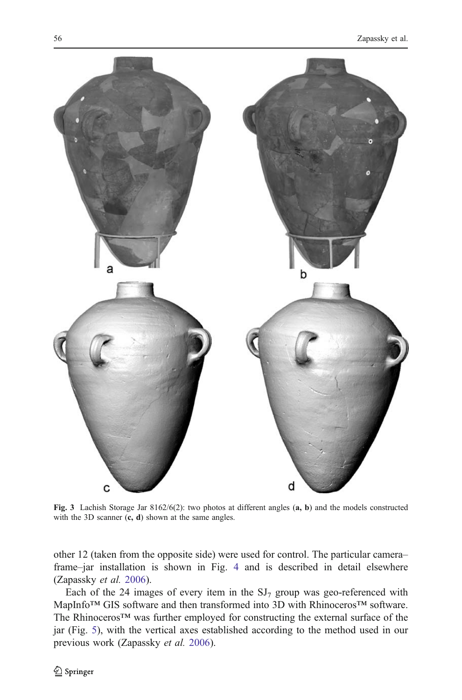<span id="page-5-0"></span>

Fig. 3 Lachish Storage Jar 8162/6(2): two photos at different angles (a, b) and the models constructed with the 3D scanner  $(c, d)$  shown at the same angles.

other 12 (taken from the opposite side) were used for control. The particular camera– frame–jar installation is shown in Fig. [4](#page-6-0) and is described in detail elsewhere (Zapassky et al. [2006\)](#page-16-0).

Each of the 24 images of every item in the  $SI<sub>7</sub>$  group was geo-referenced with MapInfo™ GIS software and then transformed into 3D with Rhinoceros™ software. The Rhinoceros™ was further employed for constructing the external surface of the jar (Fig. [5](#page-6-0)), with the vertical axes established according to the method used in our previous work (Zapassky et al. [2006\)](#page-16-0).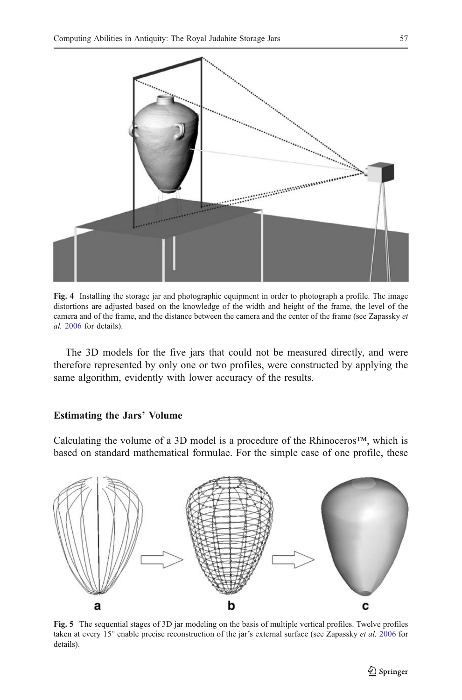<span id="page-6-0"></span>

Fig. 4 Installing the storage jar and photographic equipment in order to photograph a profile. The image distortions are adjusted based on the knowledge of the width and height of the frame, the level of the camera and of the frame, and the distance between the camera and the center of the frame (see Zapassky et al. [2006](#page-16-0) for details).

The 3D models for the five jars that could not be measured directly, and were therefore represented by only one or two profiles, were constructed by applying the same algorithm, evidently with lower accuracy of the results.

## Estimating the Jars*'* Volume

Calculating the volume of a 3D model is a procedure of the Rhinoceros™, which is based on standard mathematical formulae. For the simple case of one profile, these



Fig. 5 The sequential stages of 3D jar modeling on the basis of multiple vertical profiles. Twelve profiles taken at every 15° enable precise reconstruction of the jar's external surface (see Zapassky et al. [2006](#page-16-0) for details).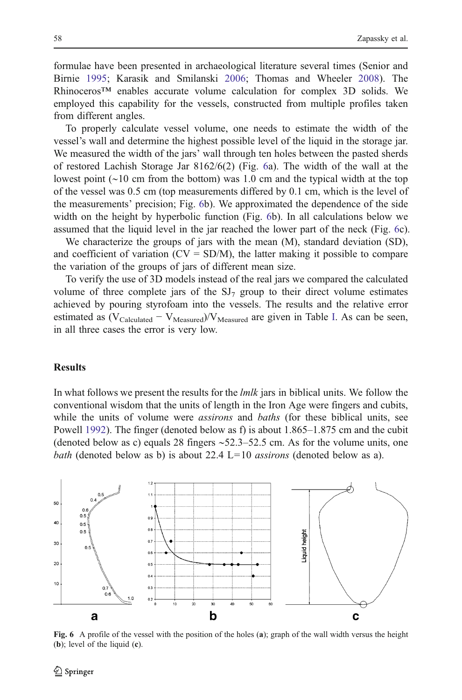formulae have been presented in archaeological literature several times (Senior and Birnie [1995;](#page-15-0) Karasik and Smilanski [2006;](#page-15-0) Thomas and Wheeler [2008](#page-15-0)). The Rhinoceros™ enables accurate volume calculation for complex 3D solids. We employed this capability for the vessels, constructed from multiple profiles taken from different angles.

To properly calculate vessel volume, one needs to estimate the width of the vessel's wall and determine the highest possible level of the liquid in the storage jar. We measured the width of the jars' wall through ten holes between the pasted sherds of restored Lachish Storage Jar 8162/6(2) (Fig. 6a). The width of the wall at the lowest point (∼10 cm from the bottom) was 1.0 cm and the typical width at the top of the vessel was 0.5 cm (top measurements differed by 0.1 cm, which is the level of the measurements' precision; Fig. 6b). We approximated the dependence of the side width on the height by hyperbolic function (Fig. 6b). In all calculations below we assumed that the liquid level in the jar reached the lower part of the neck (Fig. 6c).

We characterize the groups of jars with the mean (M), standard deviation (SD), and coefficient of variation  $(CV = SD/M)$ , the latter making it possible to compare the variation of the groups of jars of different mean size.

To verify the use of 3D models instead of the real jars we compared the calculated volume of three complete jars of the  $SI<sub>7</sub>$  group to their direct volume estimates achieved by pouring styrofoam into the vessels. The results and the relative error estimated as  $(V_{Calculated} - V_{Measured})/V_{Measured}$  are given in Table [I.](#page-8-0) As can be seen, in all three cases the error is very low.

# **Results**

In what follows we present the results for the *lmlk* jars in biblical units. We follow the conventional wisdom that the units of length in the Iron Age were fingers and cubits, while the units of volume were *assirons* and *baths* (for these biblical units, see Powell [1992\)](#page-15-0). The finger (denoted below as f) is about 1.865–1.875 cm and the cubit (denoted below as c) equals 28 fingers ∼52.3–52.5 cm. As for the volume units, one bath (denoted below as b) is about 22.4  $L=10$  *assirons* (denoted below as a).



Fig. 6 A profile of the vessel with the position of the holes (a); graph of the wall width versus the height (b); level of the liquid (c).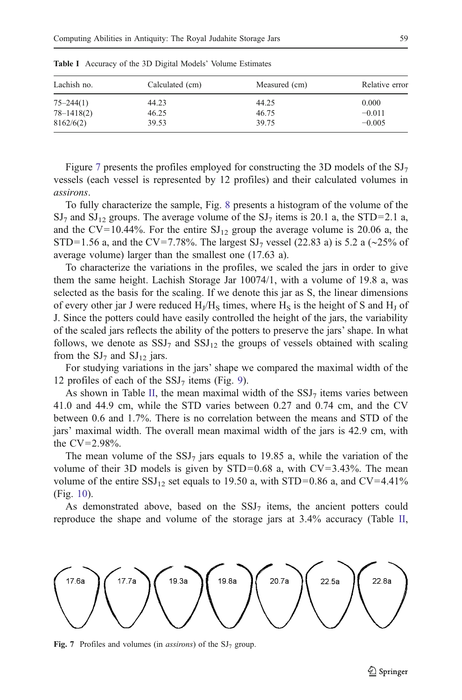| Lachish no.    | Calculated (cm) | Measured (cm) | Relative error |
|----------------|-----------------|---------------|----------------|
| $75 - 244(1)$  | 44.23           | 44.25         | 0.000          |
| $78 - 1418(2)$ | 46.25           | 46.75         | $-0.011$       |
| 8162/6(2)      | 39.53           | 39.75         | $-0.005$       |

<span id="page-8-0"></span>Table I Accuracy of the 3D Digital Models' Volume Estimates

Figure 7 presents the profiles employed for constructing the 3D models of the  $SI<sub>7</sub>$ vessels (each vessel is represented by 12 profiles) and their calculated volumes in assirons.

To fully characterize the sample, Fig. [8](#page-9-0) presents a histogram of the volume of the  $\mathrm{SJ}_7$  and  $\mathrm{SJ}_{12}$  groups. The average volume of the  $\mathrm{SJ}_7$  items is 20.1 a, the STD=2.1 a, and the CV=10.44%. For the entire  $SI_{12}$  group the average volume is 20.06 a, the STD=1.56 a, and the CV=7.78%. The largest SJ<sub>7</sub> vessel (22.83 a) is 5.2 a (∼25% of average volume) larger than the smallest one (17.63 a).

To characterize the variations in the profiles, we scaled the jars in order to give them the same height. Lachish Storage Jar 10074/1, with a volume of 19.8 a, was selected as the basis for the scaling. If we denote this jar as S, the linear dimensions of every other jar J were reduced  $H_J/H_S$  times, where  $H_S$  is the height of S and  $H_J$  of J. Since the potters could have easily controlled the height of the jars, the variability of the scaled jars reflects the ability of the potters to preserve the jars' shape. In what follows, we denote as  $SSJ<sub>7</sub>$  and  $SSJ<sub>12</sub>$  the groups of vessels obtained with scaling from the  $SJ_7$  and  $SJ_{12}$  jars.

For studying variations in the jars' shape we compared the maximal width of the 12 profiles of each of the  $SSJ<sub>7</sub>$  items (Fig. [9](#page-9-0)).

As shown in Table [II,](#page-10-0) the mean maximal width of the  $SSJ<sub>7</sub>$  items varies between 41.0 and 44.9 cm, while the STD varies between 0.27 and 0.74 cm, and the CV between 0.6 and 1.7%. There is no correlation between the means and STD of the jars' maximal width. The overall mean maximal width of the jars is 42.9 cm, with the CV=2.98%.

The mean volume of the  $SSJ<sub>7</sub>$  jars equals to 19.85 a, while the variation of the volume of their 3D models is given by  $STD=0.68$  a, with  $CV=3.43\%$ . The mean volume of the entire SSJ<sub>12</sub> set equals to 19.50 a, with STD=0.86 a, and CV=4.41% (Fig. [10](#page-10-0)).

As demonstrated above, based on the  $SSJ<sub>7</sub>$  items, the ancient potters could reproduce the shape and volume of the storage jars at 3.4% accuracy (Table [II,](#page-10-0)



Fig. 7 Profiles and volumes (in *assirons*) of the  $SI<sub>7</sub>$  group.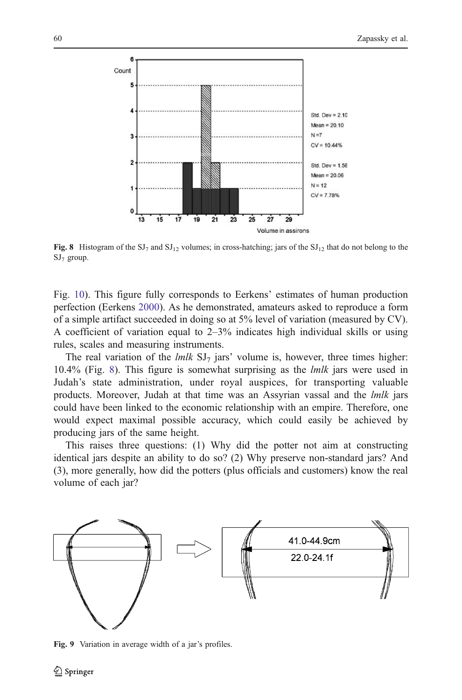<span id="page-9-0"></span>

Fig. 8 Histogram of the  $SI_7$  and  $SI_{12}$  volumes; in cross-hatching; jars of the  $SI_{12}$  that do not belong to the  $SJ_7$  group.

Fig. [10](#page-10-0)). This figure fully corresponds to Eerkens' estimates of human production perfection (Eerkens [2000\)](#page-15-0). As he demonstrated, amateurs asked to reproduce a form of a simple artifact succeeded in doing so at 5% level of variation (measured by CV). A coefficient of variation equal to  $2-3\%$  indicates high individual skills or using rules, scales and measuring instruments.

The real variation of the  $lmlk$  SJ<sub>7</sub> jars' volume is, however, three times higher: 10.4% (Fig. 8). This figure is somewhat surprising as the lmlk jars were used in Judah's state administration, under royal auspices, for transporting valuable products. Moreover, Judah at that time was an Assyrian vassal and the lmlk jars could have been linked to the economic relationship with an empire. Therefore, one would expect maximal possible accuracy, which could easily be achieved by producing jars of the same height.

This raises three questions: (1) Why did the potter not aim at constructing identical jars despite an ability to do so? (2) Why preserve non-standard jars? And (3), more generally, how did the potters (plus officials and customers) know the real volume of each jar?



Fig. 9 Variation in average width of a jar's profiles.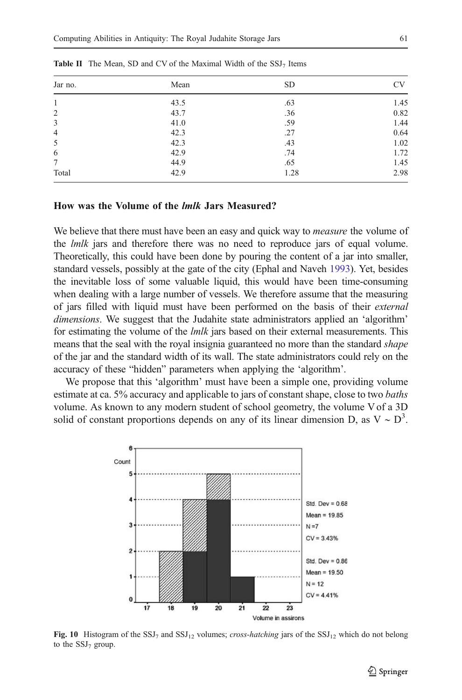| Jar no.        | Mean | <b>SD</b> | <b>CV</b> |
|----------------|------|-----------|-----------|
| 1              | 43.5 | .63       | 1.45      |
| $\mathfrak{2}$ | 43.7 | .36       | 0.82      |
| 3              | 41.0 | .59       | 1.44      |
| 4              | 42.3 | .27       | 0.64      |
| 5              | 42.3 | .43       | 1.02      |
| 6              | 42.9 | .74       | 1.72      |
| 7              | 44.9 | .65       | 1.45      |
| Total          | 42.9 | 1.28      | 2.98      |

<span id="page-10-0"></span>**Table II** The Mean, SD and CV of the Maximal Width of the  $SSJ<sub>7</sub>$  Items

#### How was the Volume of the lmlk Jars Measured?

We believe that there must have been an easy and quick way to *measure* the volume of the *lmlk* jars and therefore there was no need to reproduce jars of equal volume. Theoretically, this could have been done by pouring the content of a jar into smaller, standard vessels, possibly at the gate of the city (Ephal and Naveh [1993](#page-15-0)). Yet, besides the inevitable loss of some valuable liquid, this would have been time-consuming when dealing with a large number of vessels. We therefore assume that the measuring of jars filled with liquid must have been performed on the basis of their external dimensions. We suggest that the Judahite state administrators applied an 'algorithm' for estimating the volume of the *lmlk* jars based on their external measurements. This means that the seal with the royal insignia guaranteed no more than the standard shape of the jar and the standard width of its wall. The state administrators could rely on the accuracy of these "hidden" parameters when applying the 'algorithm'.

We propose that this 'algorithm' must have been a simple one, providing volume estimate at ca. 5% accuracy and applicable to jars of constant shape, close to two *baths* volume. As known to any modern student of school geometry, the volume V of a 3D solid of constant proportions depends on any of its linear dimension D, as  $V \sim D^3$ .



Fig. 10 Histogram of the SSJ<sub>7</sub> and SSJ<sub>12</sub> volumes; cross-hatching jars of the SSJ<sub>12</sub> which do not belong to the  $SSJ<sub>7</sub>$  group.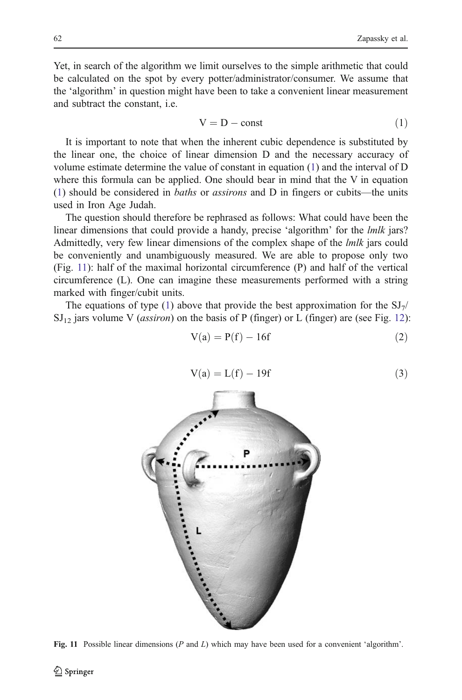<span id="page-11-0"></span>Yet, in search of the algorithm we limit ourselves to the simple arithmetic that could be calculated on the spot by every potter/administrator/consumer. We assume that the 'algorithm' in question might have been to take a convenient linear measurement and subtract the constant, i.e.

$$
V = D - const
$$
 (1)

It is important to note that when the inherent cubic dependence is substituted by the linear one, the choice of linear dimension D and the necessary accuracy of volume estimate determine the value of constant in equation (1) and the interval of D where this formula can be applied. One should bear in mind that the V in equation (1) should be considered in baths or assirons and D in fingers or cubits—the units used in Iron Age Judah.

The question should therefore be rephrased as follows: What could have been the linear dimensions that could provide a handy, precise 'algorithm' for the lmlk jars? Admittedly, very few linear dimensions of the complex shape of the *lmlk* jars could be conveniently and unambiguously measured. We are able to propose only two (Fig. 11): half of the maximal horizontal circumference (P) and half of the vertical circumference (L). One can imagine these measurements performed with a string marked with finger/cubit units.

The equations of type (1) above that provide the best approximation for the  $SI_7/$  $\mathrm{SI}_{12}$  $\mathrm{SI}_{12}$  $\mathrm{SI}_{12}$  jars volume V (*assiron*) on the basis of P (finger) or L (finger) are (see Fig. 12):

$$
V(a) = P(f) - 16f
$$
 (2)

$$
V(a) = L(f) - 19f\tag{3}
$$



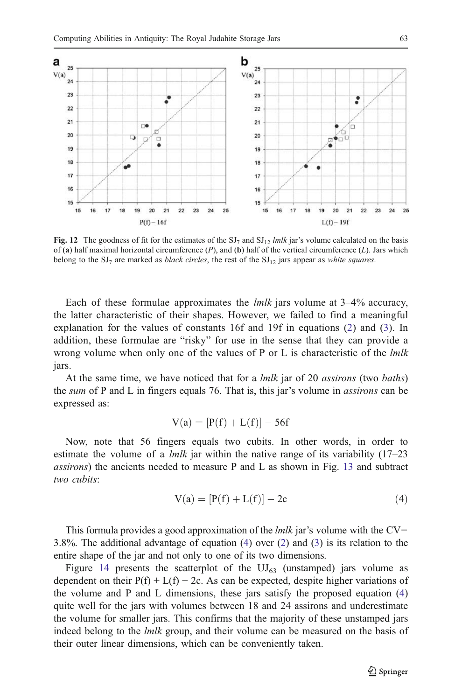<span id="page-12-0"></span>

Fig. 12 The goodness of fit for the estimates of the  $SI_7$  and  $SI_{12}$  lmlk jar's volume calculated on the basis of (a) half maximal horizontal circumference  $(P)$ , and (b) half of the vertical circumference  $(L)$ . Jars which belong to the  $SI_7$  are marked as *black circles*, the rest of the  $SI_{12}$  jars appear as *white squares*.

Each of these formulae approximates the *lmlk* jars volume at  $3-4\%$  accuracy, the latter characteristic of their shapes. However, we failed to find a meaningful explanation for the values of constants 16f and 19f in equations [\(2\)](#page-11-0) and ([3](#page-11-0)). In addition, these formulae are "risky" for use in the sense that they can provide a wrong volume when only one of the values of P or L is characteristic of the  $lmlk$ jars.

At the same time, we have noticed that for a *lmlk* jar of 20 *assirons* (two *baths*) the sum of P and L in fingers equals 76. That is, this jar's volume in assirons can be expressed as:

$$
V(a) = [P(f) + L(f)] - 56f
$$

Now, note that 56 fingers equals two cubits. In other words, in order to estimate the volume of a *lmlk* jar within the native range of its variability  $(17-23)$ assirons) the ancients needed to measure P and L as shown in Fig. [13](#page-13-0) and subtract two cubits:

$$
V(a) = [P(f) + L(f)] - 2c \tag{4}
$$

This formula provides a good approximation of the  $lmlk$  jar's volume with the CV= 3.8%. The additional advantage of equation (4) over [\(2\)](#page-11-0) and [\(3\)](#page-11-0) is its relation to the entire shape of the jar and not only to one of its two dimensions.

Figure [14](#page-13-0) presents the scatterplot of the  $UI_{63}$  (unstamped) jars volume as dependent on their  $P(f) + L(f) - 2c$ . As can be expected, despite higher variations of the volume and P and L dimensions, these jars satisfy the proposed equation (4) quite well for the jars with volumes between 18 and 24 assirons and underestimate the volume for smaller jars. This confirms that the majority of these unstamped jars indeed belong to the *lmlk* group, and their volume can be measured on the basis of their outer linear dimensions, which can be conveniently taken.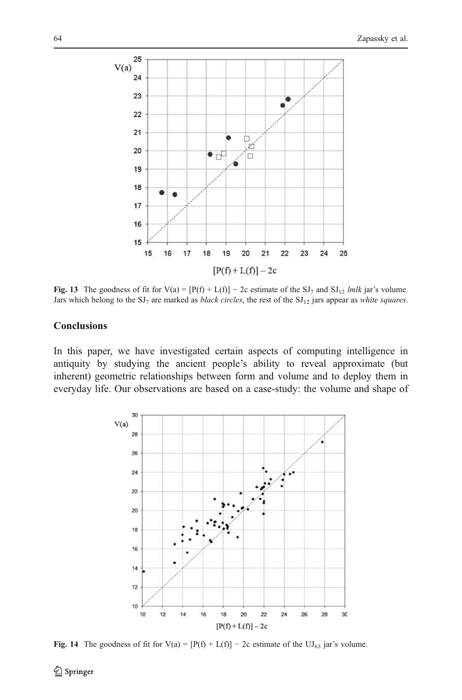<span id="page-13-0"></span>

Fig. 13 The goodness of fit for  $V(a) = [P(f) + L(f)] - 2c$  estimate of the SJ<sub>7</sub> and SJ<sub>12</sub> lmlk jar's volume. Jars which belong to the  $SI_7$  are marked as *black circles*, the rest of the  $SI_{12}$  jars appear as *white squares*.

# **Conclusions**

In this paper, we have investigated certain aspects of computing intelligence in antiquity by studying the ancient people's ability to reveal approximate (but inherent) geometric relationships between form and volume and to deploy them in everyday life. Our observations are based on a case-study: the volume and shape of



**Fig. 14** The goodness of fit for  $V(a) = [P(f) + L(f)] - 2c$  estimate of the  $UJ_{63}$  jar's volume.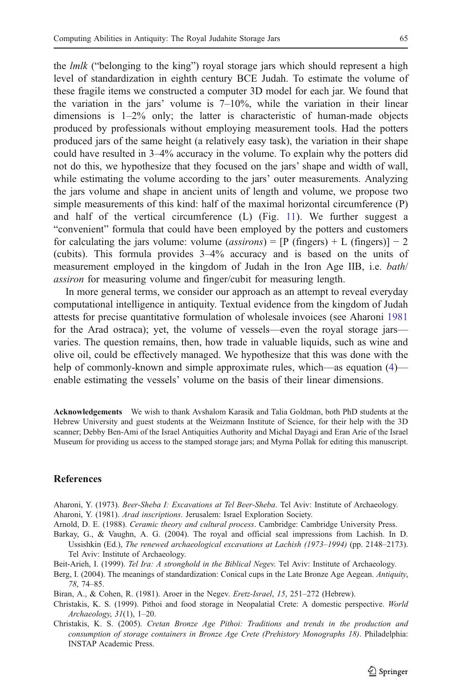<span id="page-14-0"></span>the *lmlk* ("belonging to the king") royal storage jars which should represent a high level of standardization in eighth century BCE Judah. To estimate the volume of these fragile items we constructed a computer 3D model for each jar. We found that the variation in the jars' volume is  $7-10\%$ , while the variation in their linear dimensions is 1–2% only; the latter is characteristic of human-made objects produced by professionals without employing measurement tools. Had the potters produced jars of the same height (a relatively easy task), the variation in their shape could have resulted in 3–4% accuracy in the volume. To explain why the potters did not do this, we hypothesize that they focused on the jars' shape and width of wall, while estimating the volume according to the jars' outer measurements. Analyzing the jars volume and shape in ancient units of length and volume, we propose two simple measurements of this kind: half of the maximal horizontal circumference (P) and half of the vertical circumference  $(L)$  (Fig. [11\)](#page-11-0). We further suggest a "convenient" formula that could have been employed by the potters and customers for calculating the jars volume: volume (*assirons*) =  $[P$  (fingers) + L (fingers)] – 2 (cubits). This formula provides 3–4% accuracy and is based on the units of measurement employed in the kingdom of Judah in the Iron Age IIB, i.e. *bath*/ assiron for measuring volume and finger/cubit for measuring length.

In more general terms, we consider our approach as an attempt to reveal everyday computational intelligence in antiquity. Textual evidence from the kingdom of Judah attests for precise quantitative formulation of wholesale invoices (see Aharoni 1981 for the Arad ostraca); yet, the volume of vessels—even the royal storage jars varies. The question remains, then, how trade in valuable liquids, such as wine and olive oil, could be effectively managed. We hypothesize that this was done with the help of commonly-known and simple approximate rules, which—as equation [\(4](#page-12-0)) enable estimating the vessels' volume on the basis of their linear dimensions.

Acknowledgements We wish to thank Avshalom Karasik and Talia Goldman, both PhD students at the Hebrew University and guest students at the Weizmann Institute of Science, for their help with the 3D scanner; Debby Ben-Ami of the Israel Antiquities Authority and Michal Dayagi and Eran Arie of the Israel Museum for providing us access to the stamped storage jars; and Myrna Pollak for editing this manuscript.

### **References**

Aharoni, Y. (1973). Beer-Sheba I: Excavations at Tel Beer-Sheba. Tel Aviv: Institute of Archaeology. Aharoni, Y. (1981). Arad inscriptions. Jerusalem: Israel Exploration Society.

Arnold, D. E. (1988). Ceramic theory and cultural process. Cambridge: Cambridge University Press.

- Barkay, G., & Vaughn, A. G. (2004). The royal and official seal impressions from Lachish. In D. Ussishkin (Ed.), The renewed archaeological excavations at Lachish (1973–1994) (pp. 2148–2173). Tel Aviv: Institute of Archaeology.
- Beit-Arieh, I. (1999). Tel Ira: A stronghold in the Biblical Negev. Tel Aviv: Institute of Archaeology.

Berg, I. (2004). The meanings of standardization: Conical cups in the Late Bronze Age Aegean. Antiquity, 78, 74–85.

Biran, A., & Cohen, R. (1981). Aroer in the Negev. Eretz-Israel, 15, 251-272 (Hebrew).

Christakis, K. S. (1999). Pithoi and food storage in Neopalatial Crete: A domestic perspective. World Archaeology, 31(1), 1–20.

Christakis, K. S. (2005). Cretan Bronze Age Pithoi: Traditions and trends in the production and consumption of storage containers in Bronze Age Crete (Prehistory Monographs 18). Philadelphia: INSTAP Academic Press.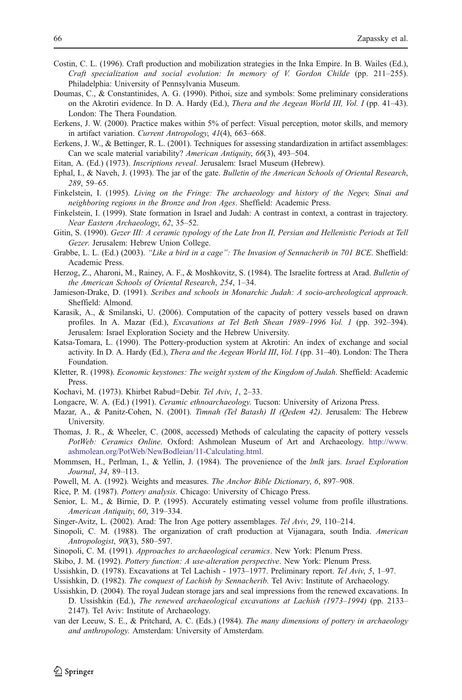- <span id="page-15-0"></span>Costin, C. L. (1996). Craft production and mobilization strategies in the Inka Empire. In B. Wailes (Ed.), Craft specialization and social evolution: In memory of V. Gordon Childe (pp. 211–255). Philadelphia: University of Pennsylvania Museum.
- Doumas, C., & Constantinides, A. G. (1990). Pithoi, size and symbols: Some preliminary considerations on the Akrotiri evidence. In D. A. Hardy (Ed.), Thera and the Aegean World III, Vol. I (pp. 41–43). London: The Thera Foundation.
- Eerkens, J. W. (2000). Practice makes within 5% of perfect: Visual perception, motor skills, and memory in artifact variation. Current Antropology, 41(4), 663–668.
- Eerkens, J. W., & Bettinger, R. L. (2001). Techniques for assessing standardization in artifact assemblages: Can we scale material variability? American Antiquity, 66(3), 493–504.
- Eitan, A. (Ed.) (1973). Inscriptions reveal. Jerusalem: Israel Museum (Hebrew).
- Ephal, I., & Naveh, J. (1993). The jar of the gate. Bulletin of the American Schools of Oriental Research, 289, 59–65.
- Finkelstein, I. (1995). Living on the Fringe: The archaeology and history of the Negev, Sinai and neighboring regions in the Bronze and Iron Ages. Sheffield: Academic Press.
- Finkelstein, I. (1999). State formation in Israel and Judah: A contrast in context, a contrast in trajectory. Near Eastern Archaeology, 62, 35–52.
- Gitin, S. (1990). Gezer III: A ceramic typology of the Late Iron II, Persian and Hellenistic Periods at Tell Gezer. Jerusalem: Hebrew Union College.
- Grabbe, L. L. (Ed.) (2003). "Like a bird in a cage": The Invasion of Sennacherib in 701 BCE. Sheffield: Academic Press.
- Herzog, Z., Aharoni, M., Rainey, A. F., & Moshkovitz, S. (1984). The Israelite fortress at Arad. Bulletin of the American Schools of Oriental Research, 254, 1–34.
- Jamieson-Drake, D. (1991). Scribes and schools in Monarchic Judah: A socio-archeological approach. Sheffield: Almond.
- Karasik, A., & Smilanski, U. (2006). Computation of the capacity of pottery vessels based on drawn profiles. In A. Mazar (Ed.), Excavations at Tel Beth Shean 1989–1996 Vol. 1 (pp. 392–394). Jerusalem: Israel Exploration Society and the Hebrew University.
- Katsa-Tomara, L. (1990). The Pottery-production system at Akrotiri: An index of exchange and social activity. In D. A. Hardy (Ed.), Thera and the Aegean World III, Vol. I (pp. 31-40). London: The Thera Foundation.
- Kletter, R. (1998). Economic keystones: The weight system of the Kingdom of Judah. Sheffield: Academic Press.
- Kochavi, M. (1973). Khirbet Rabud=Debir. Tel Aviv, 1, 2–33.
- Longacre, W. A. (Ed.) (1991). Ceramic ethnoarchaeology. Tucson: University of Arizona Press.
- Mazar, A., & Panitz-Cohen, N. (2001). Timnah (Tel Batash) II (Qedem 42). Jerusalem: The Hebrew University.
- Thomas, J. R., & Wheeler, C. (2008, accessed) Methods of calculating the capacity of pottery vessels PotWeb: Ceramics Online. Oxford: Ashmolean Museum of Art and Archaeology. [http://www.](http://www.ashmolean.org/PotWeb/NewBodleian/11-Calculating.html) [ashmolean.org/PotWeb/NewBodleian/11-Calculating.html.](http://www.ashmolean.org/PotWeb/NewBodleian/11-Calculating.html)
- Mommsen, H., Perlman, I., & Yellin, J. (1984). The provenience of the *lmlk* jars. *Israel Exploration* Journal, 34, 89–113.
- Powell, M. A. (1992). Weights and measures. The Anchor Bible Dictionary, 6, 897–908.
- Rice, P. M. (1987). Pottery analysis. Chicago: University of Chicago Press.
- Senior, L. M., & Birnie, D. P. (1995). Accurately estimating vessel volume from profile illustrations. American Antiquity, 60, 319–334.
- Singer-Avitz, L. (2002). Arad: The Iron Age pottery assemblages. Tel Aviv, 29, 110–214.
- Sinopoli, C. M. (1988). The organization of craft production at Vijanagara, south India. American Antropologist, 90(3), 580–597.
- Sinopoli, C. M. (1991). Approaches to archaeological ceramics. New York: Plenum Press.
- Skibo, J. M. (1992). Pottery function: A use-alteration perspective. New York: Plenum Press.
- Ussishkin, D. (1978). Excavations at Tel Lachish 1973–1977. Preliminary report. Tel Aviv, 5, 1–97.
- Ussishkin, D. (1982). The conquest of Lachish by Sennacherib. Tel Aviv: Institute of Archaeology.
- Ussishkin, D. (2004). The royal Judean storage jars and seal impressions from the renewed excavations. In D. Ussishkin (Ed.), The renewed archaeological excavations at Lachish (1973–1994) (pp. 2133– 2147). Tel Aviv: Institute of Archaeology.
- van der Leeuw, S. E., & Pritchard, A. C. (Eds.) (1984). The many dimensions of pottery in archaeology and anthropology. Amsterdam: University of Amsterdam.